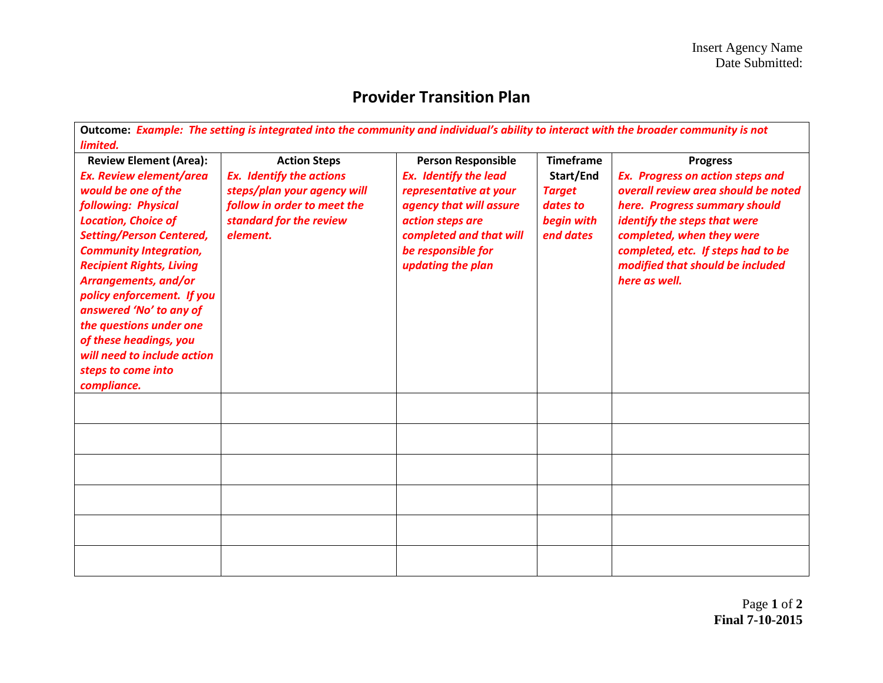## **Provider Transition Plan**

| Outcome: Example: The setting is integrated into the community and individual's ability to interact with the broader community is not                                                                                                                                                                                                                                                                                                                                    |                                                                                                                                                             |                                                                                                                                                                                                          |                                                                                       |                                                                                                                                                                                                                                                                                            |
|--------------------------------------------------------------------------------------------------------------------------------------------------------------------------------------------------------------------------------------------------------------------------------------------------------------------------------------------------------------------------------------------------------------------------------------------------------------------------|-------------------------------------------------------------------------------------------------------------------------------------------------------------|----------------------------------------------------------------------------------------------------------------------------------------------------------------------------------------------------------|---------------------------------------------------------------------------------------|--------------------------------------------------------------------------------------------------------------------------------------------------------------------------------------------------------------------------------------------------------------------------------------------|
| limited.<br><b>Review Element (Area):</b><br><b>Ex. Review element/area</b><br>would be one of the<br>following: Physical<br><b>Location, Choice of</b><br><b>Setting/Person Centered,</b><br><b>Community Integration,</b><br><b>Recipient Rights, Living</b><br>Arrangements, and/or<br>policy enforcement. If you<br>answered 'No' to any of<br>the questions under one<br>of these headings, you<br>will need to include action<br>steps to come into<br>compliance. | <b>Action Steps</b><br><b>Ex.</b> Identify the actions<br>steps/plan your agency will<br>follow in order to meet the<br>standard for the review<br>element. | <b>Person Responsible</b><br><b>Ex.</b> Identify the lead<br>representative at your<br>agency that will assure<br>action steps are<br>completed and that will<br>be responsible for<br>updating the plan | <b>Timeframe</b><br>Start/End<br><b>Target</b><br>dates to<br>begin with<br>end dates | <b>Progress</b><br><b>Ex. Progress on action steps and</b><br>overall review area should be noted<br>here. Progress summary should<br>identify the steps that were<br>completed, when they were<br>completed, etc. If steps had to be<br>modified that should be included<br>here as well. |
|                                                                                                                                                                                                                                                                                                                                                                                                                                                                          |                                                                                                                                                             |                                                                                                                                                                                                          |                                                                                       |                                                                                                                                                                                                                                                                                            |
|                                                                                                                                                                                                                                                                                                                                                                                                                                                                          |                                                                                                                                                             |                                                                                                                                                                                                          |                                                                                       |                                                                                                                                                                                                                                                                                            |
|                                                                                                                                                                                                                                                                                                                                                                                                                                                                          |                                                                                                                                                             |                                                                                                                                                                                                          |                                                                                       |                                                                                                                                                                                                                                                                                            |
|                                                                                                                                                                                                                                                                                                                                                                                                                                                                          |                                                                                                                                                             |                                                                                                                                                                                                          |                                                                                       |                                                                                                                                                                                                                                                                                            |
|                                                                                                                                                                                                                                                                                                                                                                                                                                                                          |                                                                                                                                                             |                                                                                                                                                                                                          |                                                                                       |                                                                                                                                                                                                                                                                                            |
|                                                                                                                                                                                                                                                                                                                                                                                                                                                                          |                                                                                                                                                             |                                                                                                                                                                                                          |                                                                                       |                                                                                                                                                                                                                                                                                            |